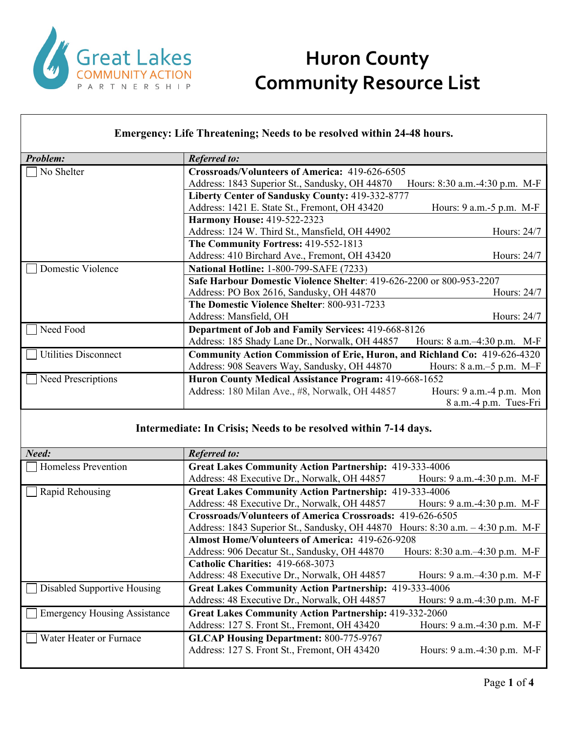

#### **Emergency: Life Threatening; Needs to be resolved within 24-48 hours.**

| <b>Problem:</b>             | <b>Referred to:</b>                                                       |                                |
|-----------------------------|---------------------------------------------------------------------------|--------------------------------|
| No Shelter                  | Crossroads/Volunteers of America: 419-626-6505                            |                                |
|                             | Address: 1843 Superior St., Sandusky, OH 44870                            | Hours: 8:30 a.m.-4:30 p.m. M-F |
|                             | Liberty Center of Sandusky County: 419-332-8777                           |                                |
|                             | Address: 1421 E. State St., Fremont, OH 43420                             | Hours: $9$ a.m.- $5$ p.m. M-F  |
|                             | <b>Harmony House: 419-522-2323</b>                                        |                                |
|                             | Address: 124 W. Third St., Mansfield, OH 44902                            | Hours: 24/7                    |
|                             | The Community Fortress: 419-552-1813                                      |                                |
|                             | Address: 410 Birchard Ave., Fremont, OH 43420                             | Hours: 24/7                    |
| Domestic Violence           | <b>National Hotline: 1-800-799-SAFE (7233)</b>                            |                                |
|                             | Safe Harbour Domestic Violence Shelter: 419-626-2200 or 800-953-2207      |                                |
|                             | Address: PO Box 2616, Sandusky, OH 44870                                  | Hours: 24/7                    |
|                             | The Domestic Violence Shelter: 800-931-7233                               |                                |
|                             | Address: Mansfield, OH                                                    | Hours: 24/7                    |
| Need Food                   | Department of Job and Family Services: 419-668-8126                       |                                |
|                             | Address: 185 Shady Lane Dr., Norwalk, OH 44857                            | Hours: 8 a.m.-4:30 p.m. M-F    |
| <b>Utilities Disconnect</b> | Community Action Commission of Erie, Huron, and Richland Co: 419-626-4320 |                                |
|                             | Address: 908 Seavers Way, Sandusky, OH 44870                              | Hours: $8$ a.m. $-5$ p.m. M-F  |
| <b>Need Prescriptions</b>   | Huron County Medical Assistance Program: 419-668-1652                     |                                |
|                             | Address: 180 Milan Ave., #8, Norwalk, OH 44857                            | Hours: $9$ a.m. $-4$ p.m. Mon  |
|                             |                                                                           | 8 a.m.-4 p.m. Tues-Fri         |

### **Intermediate: In Crisis; Needs to be resolved within 7-14 days.**

| Need:                               | <b>Referred to:</b>                                                             |                                  |
|-------------------------------------|---------------------------------------------------------------------------------|----------------------------------|
| Homeless Prevention                 | <b>Great Lakes Community Action Partnership: 419-333-4006</b>                   |                                  |
|                                     |                                                                                 |                                  |
|                                     | Address: 48 Executive Dr., Norwalk, OH 44857                                    | Hours: 9 a.m. -4:30 p.m. M-F     |
| Rapid Rehousing                     | <b>Great Lakes Community Action Partnership: 419-333-4006</b>                   |                                  |
|                                     | Address: 48 Executive Dr., Norwalk, OH 44857                                    | Hours: 9 a.m. -4:30 p.m. M-F     |
|                                     | <b>Crossroads/Volunteers of America Crossroads: 419-626-6505</b>                |                                  |
|                                     | Address: 1843 Superior St., Sandusky, OH 44870 Hours: 8:30 a.m. – 4:30 p.m. M-F |                                  |
|                                     | <b>Almost Home/Volunteers of America: 419-626-9208</b>                          |                                  |
|                                     | Address: 906 Decatur St., Sandusky, OH 44870                                    | Hours: 8:30 a.m.-4:30 p.m. M-F   |
|                                     | Catholic Charities: 419-668-3073                                                |                                  |
|                                     | Address: 48 Executive Dr., Norwalk, OH 44857                                    | Hours: $9$ a.m. $-4:30$ p.m. M-F |
| Disabled Supportive Housing         | <b>Great Lakes Community Action Partnership: 419-333-4006</b>                   |                                  |
|                                     | Address: 48 Executive Dr., Norwalk, OH 44857                                    | Hours: 9 a.m. -4:30 p.m. M-F     |
| <b>Emergency Housing Assistance</b> | <b>Great Lakes Community Action Partnership: 419-332-2060</b>                   |                                  |
|                                     | Address: 127 S. Front St., Fremont, OH 43420                                    | Hours: 9 a.m.-4:30 p.m. M-F      |
| Water Heater or Furnace             | <b>GLCAP Housing Department: 800-775-9767</b>                                   |                                  |
|                                     | Address: 127 S. Front St., Fremont, OH 43420                                    | Hours: 9 a.m.-4:30 p.m. M-F      |
|                                     |                                                                                 |                                  |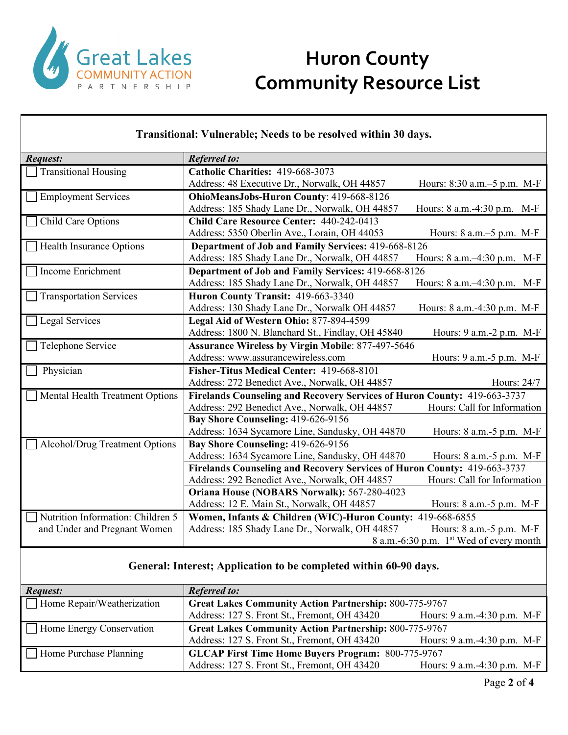

#### **Transitional: Vulnerable; Needs to be resolved within 30 days.** *Request: Referred to:* Transitional Housing **Catholic Charities:** 419-668-3073 Address: 48 Executive Dr., Norwalk, OH 44857 Hours: 8:30 a.m.–5 p.m. M-F Employment Services **OhioMeansJobs-Huron County**: 419-668-8126 Address: 185 Shady Lane Dr., Norwalk, OH 44857 Hours: 8 a.m.-4:30 p.m. M-F Child Care Options **Child Care Resource Center:** 440-242-0413 Address: 5350 Oberlin Ave., Lorain, OH 44053 Hours: 8 a.m.–5 p.m. M-F Health Insurance Options **Department of Job and Family Services:** 419-668-8126 Address: 185 Shady Lane Dr., Norwalk, OH 44857 Hours: 8 a.m.–4:30 p.m. M-F Income Enrichment **Department of Job and Family Services:** 419-668-8126 Address: 185 Shady Lane Dr., Norwalk, OH 44857 Hours: 8 a.m.–4:30 p.m. M-F Transportation Services **Huron County Transit:** 419-663-3340 Address: 130 Shady Lane Dr., Norwalk OH 44857 Hours: 8 a.m.-4:30 p.m. M-F Legal Services **Legal Aid of Western Ohio:** 877-894-4599 Address: 1800 N. Blanchard St., Findlay, OH 45840 Hours: 9 a.m.-2 p.m. M-F □ Telephone Service **Assurance Wireless by Virgin Mobile**: 877-497-5646 Address: www.assurancewireless.com Hours: 9 a.m.-5 p.m. M-F Physician **Fisher-Titus Medical Center:** 419-668-8101 Address: 272 Benedict Ave., Norwalk, OH 44857 Hours: 24/7 Mental Health Treatment Options **Firelands Counseling and Recovery Services of Huron County:** 419-663-3737 Address: 292 Benedict Ave., Norwalk, OH 44857 Hours: Call for Information **Bay Shore Counseling:** 419-626-9156 Address: 1634 Sycamore Line, Sandusky, OH 44870 Hours: 8 a.m.-5 p.m. M-F Alcohol/Drug Treatment Options **Bay Shore Counseling:** 419-626-9156 Address: 1634 Sycamore Line, Sandusky, OH 44870 Hours: 8 a.m.-5 p.m. M-F **Firelands Counseling and Recovery Services of Huron County:** 419-663-3737 Address: 292 Benedict Ave., Norwalk, OH 44857 Hours: Call for Information **Oriana House (NOBARS Norwalk):** 567-280-4023 Address: 12 E. Main St., Norwalk, OH 44857 Hours: 8 a.m.-5 p.m. M-F Nutrition Information: Children 5 and Under and Pregnant Women **Women, Infants & Children (WIC)-Huron County:** 419-668-6855 Address: 185 Shady Lane Dr., Norwalk, OH 44857 Hours: 8 a.m.-5 p.m. M-F 8 a.m.-6:30 p.m. 1st Wed of every month

#### **General: Interest; Application to be completed within 60-90 days.**

| Request:                          | <b>Referred to:</b>                                           |                                  |
|-----------------------------------|---------------------------------------------------------------|----------------------------------|
| $\Box$ Home Repair/Weatherization | <b>Great Lakes Community Action Partnership: 800-775-9767</b> |                                  |
|                                   | Address: 127 S. Front St., Fremont, OH 43420                  | Hours: $9$ a.m. $-4:30$ p.m. M-F |
| $\Box$ Home Energy Conservation   | <b>Great Lakes Community Action Partnership: 800-775-9767</b> |                                  |
|                                   | Address: 127 S. Front St., Fremont, OH 43420                  | Hours: $9$ a.m. $-4:30$ p.m. M-F |
| $\Box$ Home Purchase Planning     | <b>GLCAP First Time Home Buyers Program: 800-775-9767</b>     |                                  |
|                                   | Address: 127 S. Front St., Fremont, OH 43420                  | Hours: 9 a.m.-4:30 p.m. M-F      |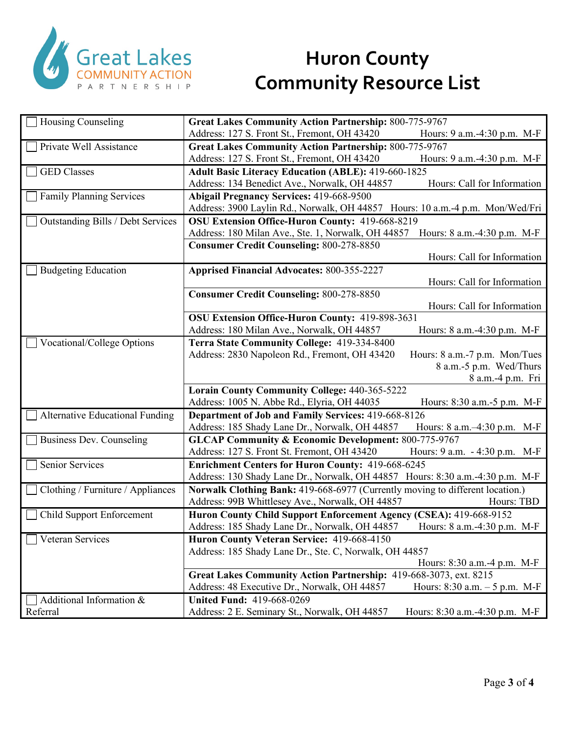

| Housing Counseling                     | <b>Great Lakes Community Action Partnership: 800-775-9767</b>                     |  |  |
|----------------------------------------|-----------------------------------------------------------------------------------|--|--|
|                                        | Address: 127 S. Front St., Fremont, OH 43420<br>Hours: 9 a.m.-4:30 p.m. M-F       |  |  |
| Private Well Assistance                | <b>Great Lakes Community Action Partnership: 800-775-9767</b>                     |  |  |
|                                        | Address: 127 S. Front St., Fremont, OH 43420<br>Hours: 9 a.m.-4:30 p.m. M-F       |  |  |
| <b>GED</b> Classes                     | <b>Adult Basic Literacy Education (ABLE): 419-660-1825</b>                        |  |  |
|                                        | Address: 134 Benedict Ave., Norwalk, OH 44857<br>Hours: Call for Information      |  |  |
| <b>Family Planning Services</b>        | <b>Abigail Pregnancy Services: 419-668-9500</b>                                   |  |  |
|                                        | Address: 3900 Laylin Rd., Norwalk, OH 44857 Hours: 10 a.m.-4 p.m. Mon/Wed/Fri     |  |  |
| Outstanding Bills / Debt Services      | OSU Extension Office-Huron County: 419-668-8219                                   |  |  |
|                                        | Address: 180 Milan Ave., Ste. 1, Norwalk, OH 44857<br>Hours: 8 a.m.-4:30 p.m. M-F |  |  |
|                                        | <b>Consumer Credit Counseling: 800-278-8850</b>                                   |  |  |
|                                        | Hours: Call for Information                                                       |  |  |
| <b>Budgeting Education</b>             | <b>Apprised Financial Advocates: 800-355-2227</b>                                 |  |  |
|                                        | Hours: Call for Information                                                       |  |  |
|                                        | <b>Consumer Credit Counseling: 800-278-8850</b>                                   |  |  |
|                                        | Hours: Call for Information                                                       |  |  |
|                                        | OSU Extension Office-Huron County: 419-898-3631                                   |  |  |
|                                        | Address: 180 Milan Ave., Norwalk, OH 44857<br>Hours: 8 a.m.-4:30 p.m. M-F         |  |  |
| Vocational/College Options             | Terra State Community College: 419-334-8400                                       |  |  |
|                                        | Address: 2830 Napoleon Rd., Fremont, OH 43420<br>Hours: 8 a.m.-7 p.m. Mon/Tues    |  |  |
|                                        | 8 a.m.-5 p.m. Wed/Thurs                                                           |  |  |
|                                        | 8 a.m.-4 p.m. Fri                                                                 |  |  |
|                                        | <b>Lorain County Community College: 440-365-5222</b>                              |  |  |
|                                        | Address: 1005 N. Abbe Rd., Elyria, OH 44035<br>Hours: 8:30 a.m.-5 p.m. M-F        |  |  |
| <b>Alternative Educational Funding</b> | Department of Job and Family Services: 419-668-8126                               |  |  |
|                                        | Address: 185 Shady Lane Dr., Norwalk, OH 44857<br>Hours: 8 a.m.-4:30 p.m. M-F     |  |  |
| <b>Business Dev. Counseling</b>        | <b>GLCAP Community &amp; Economic Development: 800-775-9767</b>                   |  |  |
|                                        | Address: 127 S. Front St. Fremont, OH 43420<br>Hours: 9 a.m. - 4:30 p.m. M-F      |  |  |
| Senior Services                        | <b>Enrichment Centers for Huron County: 419-668-6245</b>                          |  |  |
|                                        | Address: 130 Shady Lane Dr., Norwalk, OH 44857 Hours: 8:30 a.m.-4:30 p.m. M-F     |  |  |
| Clothing / Furniture / Appliances      | Norwalk Clothing Bank: 419-668-6977 (Currently moving to different location.)     |  |  |
|                                        | Address: 99B Whittlesey Ave., Norwalk, OH 44857<br>Hours: TBD                     |  |  |
| Child Support Enforcement              | Huron County Child Support Enforcement Agency (CSEA): 419-668-9152                |  |  |
|                                        | Address: 185 Shady Lane Dr., Norwalk, OH 44857<br>Hours: 8 a.m.-4:30 p.m. M-F     |  |  |
| Veteran Services                       | Huron County Veteran Service: 419-668-4150                                        |  |  |
|                                        | Address: 185 Shady Lane Dr., Ste. C, Norwalk, OH 44857                            |  |  |
|                                        | Hours: 8:30 a.m.-4 p.m. M-F                                                       |  |  |
|                                        | Great Lakes Community Action Partnership: 419-668-3073, ext. 8215                 |  |  |
|                                        | Address: 48 Executive Dr., Norwalk, OH 44857<br>Hours: 8:30 a.m. - 5 p.m. M-F     |  |  |
| Additional Information &               | <b>United Fund: 419-668-0269</b>                                                  |  |  |
| Referral                               | Address: 2 E. Seminary St., Norwalk, OH 44857<br>Hours: 8:30 a.m.-4:30 p.m. M-F   |  |  |